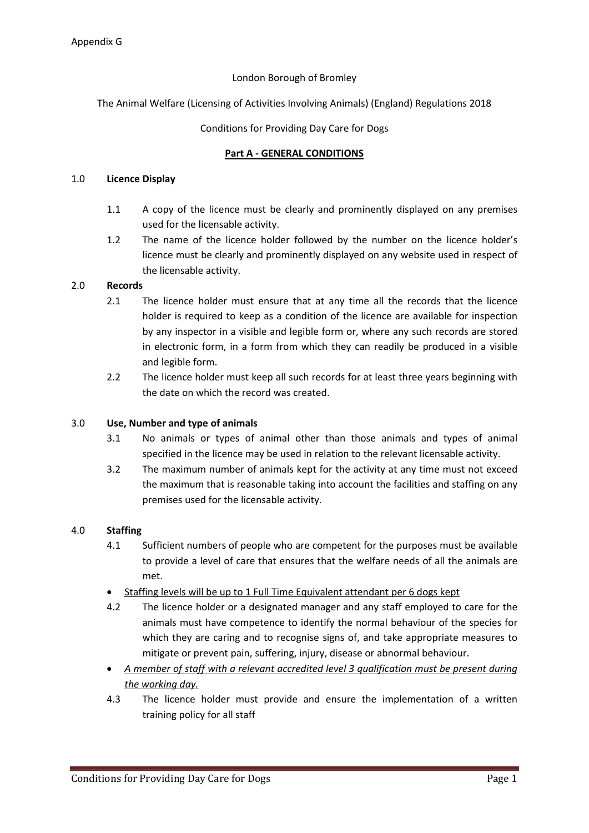## London Borough of Bromley

The Animal Welfare (Licensing of Activities Involving Animals) (England) Regulations 2018

## Conditions for Providing Day Care for Dogs

### **Part A - GENERAL CONDITIONS**

## 1.0 **Licence Display**

- 1.1 A copy of the licence must be clearly and prominently displayed on any premises used for the licensable activity.
- 1.2 The name of the licence holder followed by the number on the licence holder's licence must be clearly and prominently displayed on any website used in respect of the licensable activity.

## 2.0 **Records**

- 2.1 The licence holder must ensure that at any time all the records that the licence holder is required to keep as a condition of the licence are available for inspection by any inspector in a visible and legible form or, where any such records are stored in electronic form, in a form from which they can readily be produced in a visible and legible form.
- 2.2 The licence holder must keep all such records for at least three years beginning with the date on which the record was created.

#### 3.0 **Use, Number and type of animals**

- 3.1 No animals or types of animal other than those animals and types of animal specified in the licence may be used in relation to the relevant licensable activity.
- 3.2 The maximum number of animals kept for the activity at any time must not exceed the maximum that is reasonable taking into account the facilities and staffing on any premises used for the licensable activity.

#### 4.0 **Staffing**

- 4.1 Sufficient numbers of people who are competent for the purposes must be available to provide a level of care that ensures that the welfare needs of all the animals are met.
- Staffing levels will be up to 1 Full Time Equivalent attendant per 6 dogs kept
- 4.2 The licence holder or a designated manager and any staff employed to care for the animals must have competence to identify the normal behaviour of the species for which they are caring and to recognise signs of, and take appropriate measures to mitigate or prevent pain, suffering, injury, disease or abnormal behaviour.
- *A member of staff with a relevant accredited level 3 qualification must be present during the working day.*
- 4.3 The licence holder must provide and ensure the implementation of a written training policy for all staff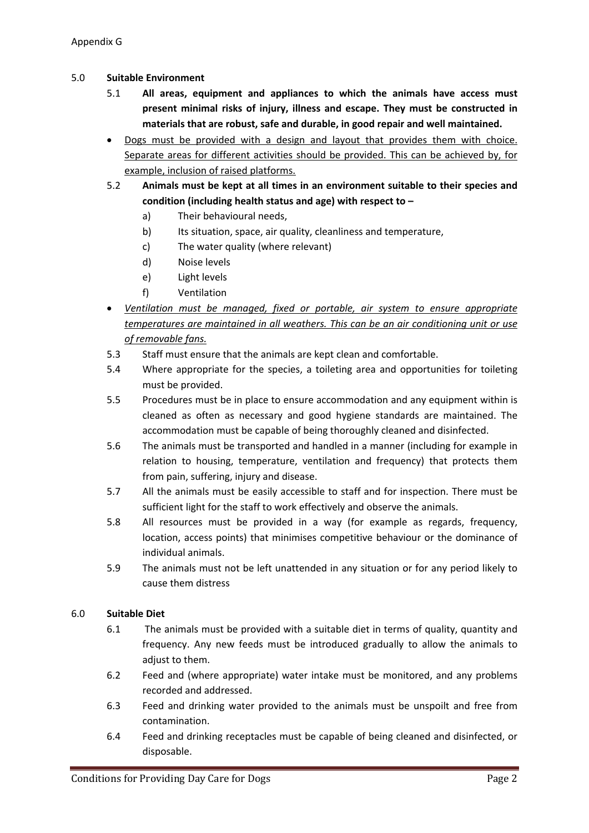## 5.0 **Suitable Environment**

- 5.1 **All areas, equipment and appliances to which the animals have access must present minimal risks of injury, illness and escape. They must be constructed in materials that are robust, safe and durable, in good repair and well maintained.**
- Dogs must be provided with a design and layout that provides them with choice. Separate areas for different activities should be provided. This can be achieved by, for example, inclusion of raised platforms.
- 5.2 **Animals must be kept at all times in an environment suitable to their species and condition (including health status and age) with respect to –**
	- a) Their behavioural needs,
	- b) Its situation, space, air quality, cleanliness and temperature,
	- c) The water quality (where relevant)
	- d) Noise levels
	- e) Light levels
	- f) Ventilation
- *Ventilation must be managed, fixed or portable, air system to ensure appropriate temperatures are maintained in all weathers. This can be an air conditioning unit or use of removable fans.*
- 5.3 Staff must ensure that the animals are kept clean and comfortable.
- 5.4 Where appropriate for the species, a toileting area and opportunities for toileting must be provided.
- 5.5 Procedures must be in place to ensure accommodation and any equipment within is cleaned as often as necessary and good hygiene standards are maintained. The accommodation must be capable of being thoroughly cleaned and disinfected.
- 5.6 The animals must be transported and handled in a manner (including for example in relation to housing, temperature, ventilation and frequency) that protects them from pain, suffering, injury and disease.
- 5.7 All the animals must be easily accessible to staff and for inspection. There must be sufficient light for the staff to work effectively and observe the animals.
- 5.8 All resources must be provided in a way (for example as regards, frequency, location, access points) that minimises competitive behaviour or the dominance of individual animals.
- 5.9 The animals must not be left unattended in any situation or for any period likely to cause them distress

## 6.0 **Suitable Diet**

- 6.1 The animals must be provided with a suitable diet in terms of quality, quantity and frequency. Any new feeds must be introduced gradually to allow the animals to adiust to them.
- 6.2 Feed and (where appropriate) water intake must be monitored, and any problems recorded and addressed.
- 6.3 Feed and drinking water provided to the animals must be unspoilt and free from contamination.
- 6.4 Feed and drinking receptacles must be capable of being cleaned and disinfected, or disposable.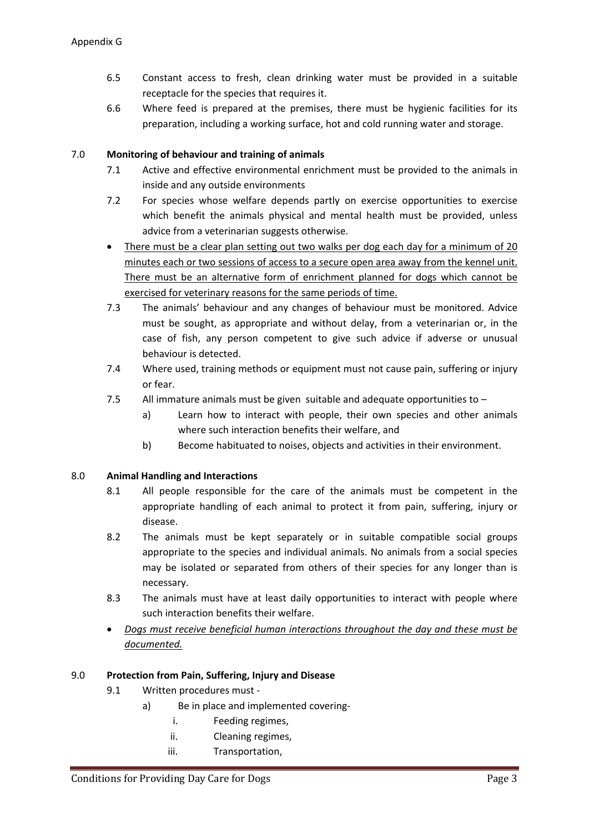- 6.5 Constant access to fresh, clean drinking water must be provided in a suitable receptacle for the species that requires it.
- 6.6 Where feed is prepared at the premises, there must be hygienic facilities for its preparation, including a working surface, hot and cold running water and storage.

## 7.0 **Monitoring of behaviour and training of animals**

- 7.1 Active and effective environmental enrichment must be provided to the animals in inside and any outside environments
- 7.2 For species whose welfare depends partly on exercise opportunities to exercise which benefit the animals physical and mental health must be provided, unless advice from a veterinarian suggests otherwise.
- There must be a clear plan setting out two walks per dog each day for a minimum of 20 minutes each or two sessions of access to a secure open area away from the kennel unit. There must be an alternative form of enrichment planned for dogs which cannot be exercised for veterinary reasons for the same periods of time.
- 7.3 The animals' behaviour and any changes of behaviour must be monitored. Advice must be sought, as appropriate and without delay, from a veterinarian or, in the case of fish, any person competent to give such advice if adverse or unusual behaviour is detected.
- 7.4 Where used, training methods or equipment must not cause pain, suffering or injury or fear.
- 7.5 All immature animals must be given suitable and adequate opportunities to
	- a) Learn how to interact with people, their own species and other animals where such interaction benefits their welfare, and
	- b) Become habituated to noises, objects and activities in their environment.

## 8.0 **Animal Handling and Interactions**

- 8.1 All people responsible for the care of the animals must be competent in the appropriate handling of each animal to protect it from pain, suffering, injury or disease.
- 8.2 The animals must be kept separately or in suitable compatible social groups appropriate to the species and individual animals. No animals from a social species may be isolated or separated from others of their species for any longer than is necessary.
- 8.3 The animals must have at least daily opportunities to interact with people where such interaction benefits their welfare.
- *Dogs must receive beneficial human interactions throughout the day and these must be documented.*

## 9.0 **Protection from Pain, Suffering, Injury and Disease**

- 9.1 Written procedures must
	- a) Be in place and implemented covering
		- i. Feeding regimes,
		- ii. Cleaning regimes,
		- iii. Transportation,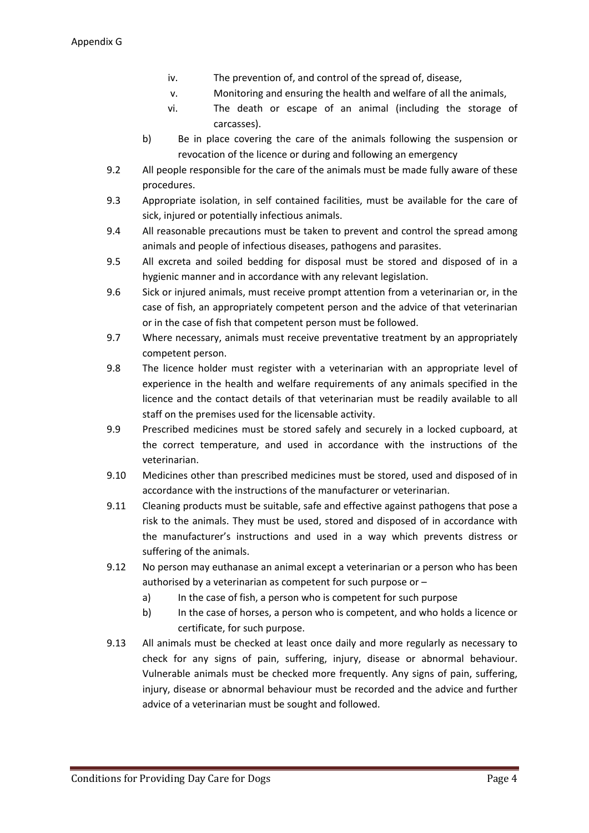- iv. The prevention of, and control of the spread of, disease,
- v. Monitoring and ensuring the health and welfare of all the animals,
- vi. The death or escape of an animal (including the storage of carcasses).
- b) Be in place covering the care of the animals following the suspension or revocation of the licence or during and following an emergency
- 9.2 All people responsible for the care of the animals must be made fully aware of these procedures.
- 9.3 Appropriate isolation, in self contained facilities, must be available for the care of sick, injured or potentially infectious animals.
- 9.4 All reasonable precautions must be taken to prevent and control the spread among animals and people of infectious diseases, pathogens and parasites.
- 9.5 All excreta and soiled bedding for disposal must be stored and disposed of in a hygienic manner and in accordance with any relevant legislation.
- 9.6 Sick or injured animals, must receive prompt attention from a veterinarian or, in the case of fish, an appropriately competent person and the advice of that veterinarian or in the case of fish that competent person must be followed.
- 9.7 Where necessary, animals must receive preventative treatment by an appropriately competent person.
- 9.8 The licence holder must register with a veterinarian with an appropriate level of experience in the health and welfare requirements of any animals specified in the licence and the contact details of that veterinarian must be readily available to all staff on the premises used for the licensable activity.
- 9.9 Prescribed medicines must be stored safely and securely in a locked cupboard, at the correct temperature, and used in accordance with the instructions of the veterinarian.
- 9.10 Medicines other than prescribed medicines must be stored, used and disposed of in accordance with the instructions of the manufacturer or veterinarian.
- 9.11 Cleaning products must be suitable, safe and effective against pathogens that pose a risk to the animals. They must be used, stored and disposed of in accordance with the manufacturer's instructions and used in a way which prevents distress or suffering of the animals.
- 9.12 No person may euthanase an animal except a veterinarian or a person who has been authorised by a veterinarian as competent for such purpose or –
	- a) In the case of fish, a person who is competent for such purpose
	- b) In the case of horses, a person who is competent, and who holds a licence or certificate, for such purpose.
- 9.13 All animals must be checked at least once daily and more regularly as necessary to check for any signs of pain, suffering, injury, disease or abnormal behaviour. Vulnerable animals must be checked more frequently. Any signs of pain, suffering, injury, disease or abnormal behaviour must be recorded and the advice and further advice of a veterinarian must be sought and followed.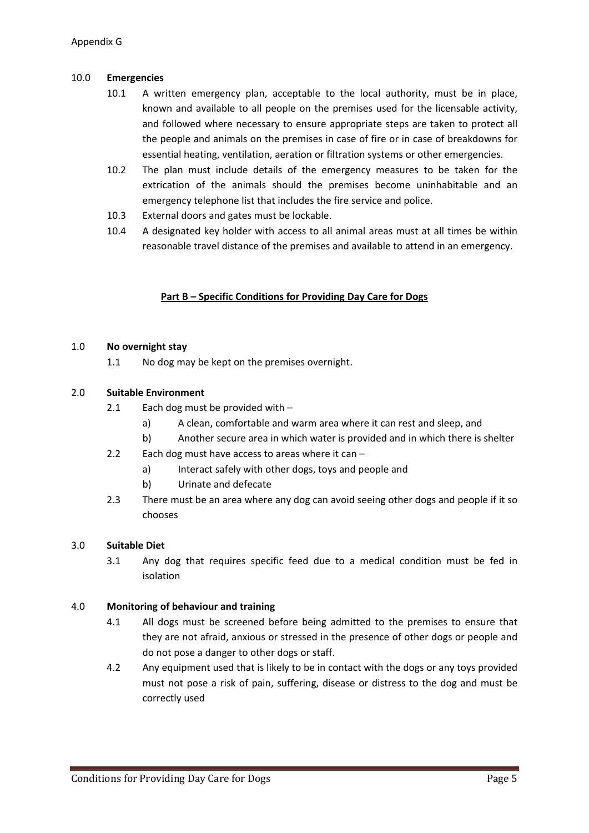## 10.0 **Emergencies**

- 10.1 A written emergency plan, acceptable to the local authority, must be in place, known and available to all people on the premises used for the licensable activity, and followed where necessary to ensure appropriate steps are taken to protect all the people and animals on the premises in case of fire or in case of breakdowns for essential heating, ventilation, aeration or filtration systems or other emergencies.
- 10.2 The plan must include details of the emergency measures to be taken for the extrication of the animals should the premises become uninhabitable and an emergency telephone list that includes the fire service and police.
- 10.3 External doors and gates must be lockable.
- 10.4 A designated key holder with access to all animal areas must at all times be within reasonable travel distance of the premises and available to attend in an emergency.

## **Part B – Specific Conditions for Providing Day Care for Dogs**

#### 1.0 **No overnight stay**

1.1 No dog may be kept on the premises overnight.

## 2.0 **Suitable Environment**

- 2.1 Each dog must be provided with  $$ 
	- a) A clean, comfortable and warm area where it can rest and sleep, and
	- b) Another secure area in which water is provided and in which there is shelter
- 2.2 Each dog must have access to areas where it can
	- a) Interact safely with other dogs, toys and people and
	- b) Urinate and defecate
- 2.3 There must be an area where any dog can avoid seeing other dogs and people if it so chooses

#### 3.0 **Suitable Diet**

3.1 Any dog that requires specific feed due to a medical condition must be fed in isolation

#### 4.0 **Monitoring of behaviour and training**

- 4.1 All dogs must be screened before being admitted to the premises to ensure that they are not afraid, anxious or stressed in the presence of other dogs or people and do not pose a danger to other dogs or staff.
- 4.2 Any equipment used that is likely to be in contact with the dogs or any toys provided must not pose a risk of pain, suffering, disease or distress to the dog and must be correctly used